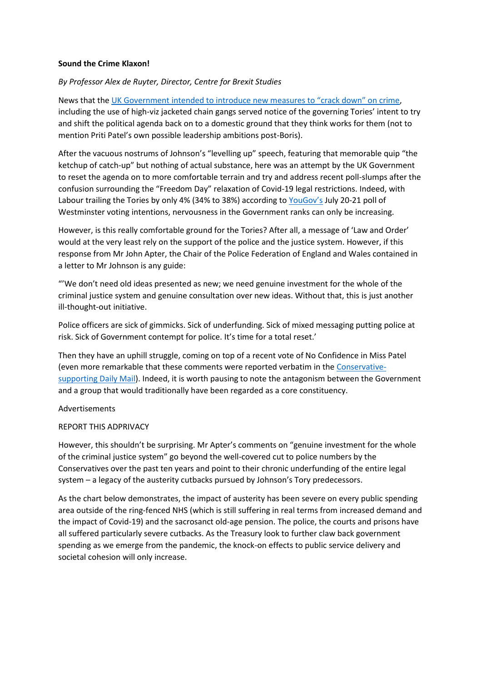## **Sound the Crime Klaxon!**

## *By Professor Alex de Ruyter, Director, Centre for Brexit Studies*

News that the [UK Government intended to introduce new measures to "crack down" on crime](https://www.theguardian.com/commentisfree/2021/jul/29/crime-pays-tories-law-and-order-cruelty-priti-patel), including the use of high-viz jacketed chain gangs served notice of the governing Tories' intent to try and shift the political agenda back on to a domestic ground that they think works for them (not to mention Priti Patel's own possible leadership ambitions post-Boris).

After the vacuous nostrums of Johnson's "levelling up" speech, featuring that memorable quip "the ketchup of catch-up" but nothing of actual substance, here was an attempt by the UK Government to reset the agenda on to more comfortable terrain and try and address recent poll-slumps after the confusion surrounding the "Freedom Day" relaxation of Covid-19 legal restrictions. Indeed, with Labour trailing the Tories by only 4% (34% to 38%) according to [YouGov's](https://yougov.co.uk/topics/politics/articles-reports/2021/07/24/voting-intention-con-38-lab-34-20-21-july) July 20-21 poll of Westminster voting intentions, nervousness in the Government ranks can only be increasing.

However, is this really comfortable ground for the Tories? After all, a message of 'Law and Order' would at the very least rely on the support of the police and the justice system. However, if this response from Mr John Apter, the Chair of the Police Federation of England and Wales contained in a letter to Mr Johnson is any guide:

"'We don't need old ideas presented as new; we need genuine investment for the whole of the criminal justice system and genuine consultation over new ideas. Without that, this is just another ill-thought-out initiative.

Police officers are sick of gimmicks. Sick of underfunding. Sick of mixed messaging putting police at risk. Sick of Government contempt for police. It's time for a total reset.'

Then they have an uphill struggle, coming on top of a recent vote of No Confidence in Miss Patel (even more remarkable that these comments were reported verbatim in the [Conservative](https://www.dailymail.co.uk/news/article-9828167/Priti-Patel-vows-crack-crime-GPS-alcohol-tags-offenders.html)[supporting Daily Mail\)](https://www.dailymail.co.uk/news/article-9828167/Priti-Patel-vows-crack-crime-GPS-alcohol-tags-offenders.html). Indeed, it is worth pausing to note the antagonism between the Government and a group that would traditionally have been regarded as a core constituency.

## Advertisements

## REPORT THIS ADPRIVACY

However, this shouldn't be surprising. Mr Apter's comments on "genuine investment for the whole of the criminal justice system" go beyond the well-covered cut to police numbers by the Conservatives over the past ten years and point to their chronic underfunding of the entire legal system – a legacy of the austerity cutbacks pursued by Johnson's Tory predecessors.

As the chart below demonstrates, the impact of austerity has been severe on every public spending area outside of the ring-fenced NHS (which is still suffering in real terms from increased demand and the impact of Covid-19) and the sacrosanct old-age pension. The police, the courts and prisons have all suffered particularly severe cutbacks. As the Treasury look to further claw back government spending as we emerge from the pandemic, the knock-on effects to public service delivery and societal cohesion will only increase.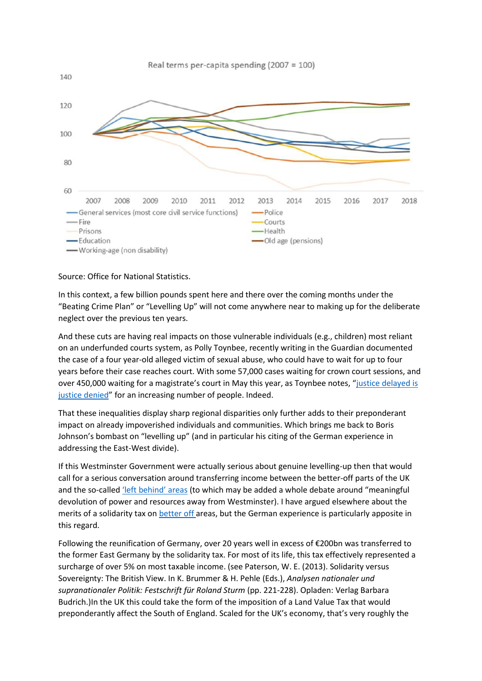

Source: Office for National Statistics.

In this context, a few billion pounds spent here and there over the coming months under the "Beating Crime Plan" or "Levelling Up" will not come anywhere near to making up for the deliberate neglect over the previous ten years.

And these cuts are having real impacts on those vulnerable individuals (e.g., children) most reliant on an underfunded courts system, as Polly Toynbee, recently writing in the Guardian documented the case of a four year-old alleged victim of sexual abuse, who could have to wait for up to four years before their case reaches court. With some 57,000 cases waiting for crown court sessions, and over 450,000 waiting for a magistrate's court in May this year, as Toynbee notes, "[justice delayed is](https://www.theguardian.com/uk-news/commentisfree/2021/jul/06/priti-patel-tories-law-and-order-justice-court-delays)  [justice denied](https://www.theguardian.com/uk-news/commentisfree/2021/jul/06/priti-patel-tories-law-and-order-justice-court-delays)" for an increasing number of people. Indeed.

That these inequalities display sharp regional disparities only further adds to their preponderant impact on already impoverished individuals and communities. Which brings me back to Boris Johnson's bombast on "levelling up" (and in particular his citing of the German experience in addressing the East-West divide).

If this Westminster Government were actually serious about genuine levelling-up then that would call for a serious conversation around transferring income between the better-off parts of the UK and the so-called ['left behind' areas](https://academic.oup.com/cjres/article-abstract/11/1/189/4821289) (to which may be added a whole debate around "meaningful devolution of power and resources away from Westminster). I have argued elsewhere about the merits of a solidarity tax on [better off](https://www.spectator.co.uk/article/is-london-being-levelled-down-already-) areas, but the German experience is particularly apposite in this regard.

Following the reunification of Germany, over 20 years well in excess of €200bn was transferred to the former East Germany by the solidarity tax. For most of its life, this tax effectively represented a surcharge of over 5% on most taxable income. (see Paterson, W. E. (2013). Solidarity versus Sovereignty: The British View. In K. Brummer & H. Pehle (Eds.), *Analysen nationaler und supranationaler Politik: Festschrift für Roland Sturm* (pp. 221-228). Opladen: Verlag Barbara Budrich.)In the UK this could take the form of the imposition of a Land Value Tax that would preponderantly affect the South of England. Scaled for the UK's economy, that's very roughly the